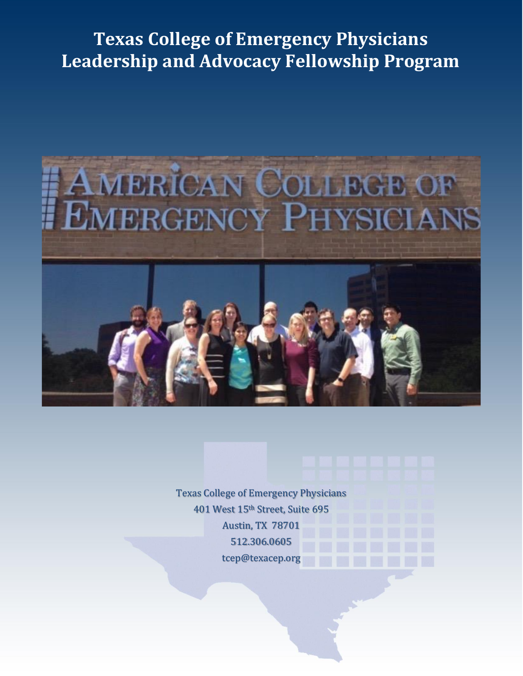**Texas College of Emergency Physicians Leadership and Advocacy Fellowship Program**



Texas College of Emergency Physicians 401 West 15th Street, Suite 695 Austin, TX 78701 512.306.0605 tcep@texacep.org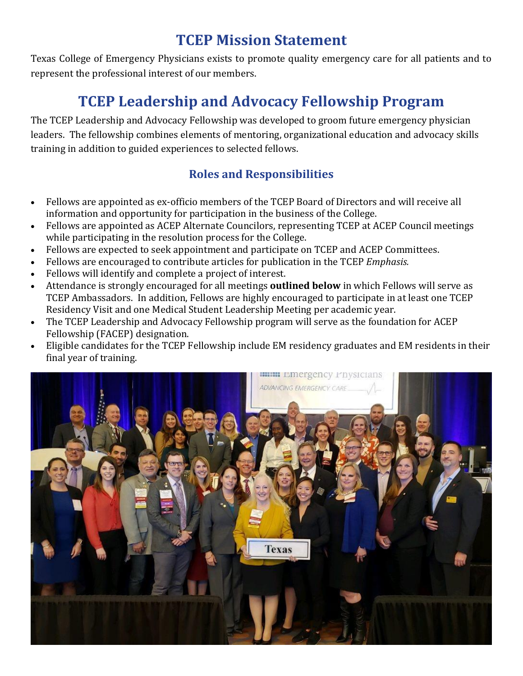## **TCEP Mission Statement**

Texas College of Emergency Physicians exists to promote quality emergency care for all patients and to represent the professional interest of our members.

# **TCEP Leadership and Advocacy Fellowship Program**

The TCEP Leadership and Advocacy Fellowship was developed to groom future emergency physician leaders. The fellowship combines elements of mentoring, organizational education and advocacy skills training in addition to guided experiences to selected fellows.

#### **Roles and Responsibilities**

- Fellows are appointed as ex-officio members of the TCEP Board of Directors and will receive all information and opportunity for participation in the business of the College.
- Fellows are appointed as ACEP Alternate Councilors, representing TCEP at ACEP Council meetings while participating in the resolution process for the College.
- Fellows are expected to seek appointment and participate on TCEP and ACEP Committees.
- Fellows are encouraged to contribute articles for publication in the TCEP *Emphasis.*
- Fellows will identify and complete a project of interest.
- Attendance is strongly encouraged for all meetings **outlined below** in which Fellows will serve as TCEP Ambassadors. In addition, Fellows are highly encouraged to participate in at least one TCEP Residency Visit and one Medical Student Leadership Meeting per academic year.
- The TCEP Leadership and Advocacy Fellowship program will serve as the foundation for ACEP Fellowship (FACEP) designation.
- Eligible candidates for the TCEP Fellowship include EM residency graduates and EM residents in their final year of training.

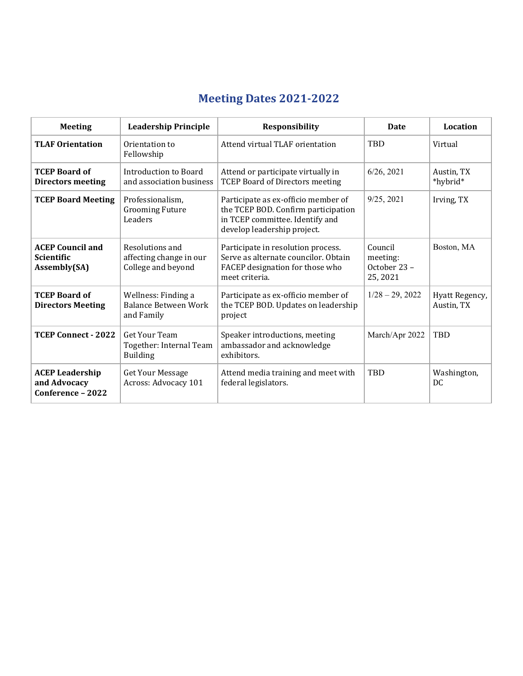## **Meeting Dates 2021-2022**

| <b>Meeting</b>                                               | <b>Leadership Principle</b>                                        | <b>Responsibility</b>                                                                                                                        | <b>Date</b>                                     | Location                     |
|--------------------------------------------------------------|--------------------------------------------------------------------|----------------------------------------------------------------------------------------------------------------------------------------------|-------------------------------------------------|------------------------------|
| <b>TLAF Orientation</b>                                      | Orientation to<br>Fellowship                                       | Attend virtual TLAF orientation                                                                                                              | <b>TBD</b>                                      | Virtual                      |
| <b>TCEP Board of</b><br><b>Directors meeting</b>             | Introduction to Board<br>and association business                  | Attend or participate virtually in<br><b>TCEP Board of Directors meeting</b>                                                                 | 6/26, 2021                                      | Austin, TX<br>*hybrid*       |
| <b>TCEP Board Meeting</b>                                    | Professionalism,<br><b>Grooming Future</b><br>Leaders              | Participate as ex-officio member of<br>the TCEP BOD. Confirm participation<br>in TCEP committee. Identify and<br>develop leadership project. | 9/25, 2021                                      | Irving, TX                   |
| <b>ACEP Council and</b><br><b>Scientific</b><br>Assembly(SA) | Resolutions and<br>affecting change in our<br>College and beyond   | Participate in resolution process.<br>Serve as alternate councilor, Obtain<br>FACEP designation for those who<br>meet criteria.              | Council<br>meeting:<br>October 23 -<br>25, 2021 | Boston, MA                   |
| <b>TCEP Board of</b><br><b>Directors Meeting</b>             | Wellness: Finding a<br>Balance Between Work<br>and Family          | Participate as ex-officio member of<br>the TCEP BOD. Updates on leadership<br>project                                                        | $1/28 - 29, 2022$                               | Hyatt Regency,<br>Austin, TX |
| <b>TCEP Connect - 2022</b>                                   | <b>Get Your Team</b><br>Together: Internal Team<br><b>Building</b> | Speaker introductions, meeting<br>ambassador and acknowledge<br>exhibitors.                                                                  | March/Apr 2022                                  | <b>TBD</b>                   |
| <b>ACEP Leadership</b><br>and Advocacy<br>Conference - 2022  | <b>Get Your Message</b><br>Across: Advocacy 101                    | Attend media training and meet with<br>federal legislators.                                                                                  | <b>TBD</b>                                      | Washington,<br>DC.           |